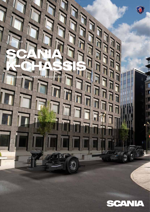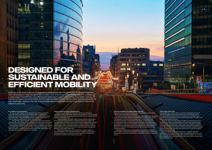#### **For a better city environment**

 Through high quality vehicles and innovative technical solutions, maintenance, and a range of driver services, we address fuel efficiency from all angles, helping operators to reduce emissions and fuel costs. To help prevent accidents and create a safer city environment, Scania buses offer built-in state-of-the-art safety systems and features. These help the driver by increasing their awareness of other road users, and even help to control the vehicle when required.

Having the right vehicle for the operation and using it efficiently is the best way to minimise environmental impact. Scania offers hybrid electric buses and engines running on all commercially viable renewable fuels – biodiesel/FAME, HVO and biogas powertrains, in order to meet the requirements of all urban operations.

#### **Energy efficiency lowers operating cost**

Public transport operators know the importance of keeping operating costs to a minimum, and fuel consumption is one of the main contributors to cost. An energy efficient powertrain can therefore offer significant savings in fuel.

 Scania develops and offers highly energy efficient powertrains, both traditional and electrified. Compared to previous models, the new generation of Scania buses offer operators the potential to make significant savings in fuel and emissions, without compromising on performance. This is achieved through a number of factors, with the most significant savings coming from improved engine and gearbox efficiency and weight reductions.

 Beyond the powertrain, driving style has a major impact on fuel consumption. The drivability of Scania´s vehicles and our driver assistance systems, as well as our driver services, can potentially contribute to further fuel savings of up to 10%.

 Due to the demanding work environment, operators also face challenges when it comes to sick leave and employee retention; that's why we've designed the best possible work environment for drivers in terms of ergonomics, reachability, climate control, safety features and an overall quality feel.

Based on more than a century of engineering experience, the new generation of Scania buses has been developed to meet the demands of today's and tomorrow's cities; energy efficient, available in a wide range of powertrains and offering the latest technology in everything from safety systems to reduced emission and noise levels. And through excellent uptime, fuel economy and the possibility of high passenger capacity, the new Scania buses allow sustainable mobility to go hand-in-hand with operating economy.

# **DESIGNED FOR SUSTAINABLE AND EFFICIENT MOBILITY**

相

**Ensuring availability through reliable solutions** Reducing vehicle downtime and increasing utilisation is essential to making urban operations cost-efficient.

**Tellit vin** 

NESI

**The Month Contract Ending St** 

 Our buses are built on proven technology and components, resulting in chassis and powertrains that are dependable, durable, and robust. That reliability is the key to minimising time in the workshop and maximising utilisation of the vehicle. Our buses are designed and constructed to make sure that sensitive and expensive components are protected in the event of a collision. Limiting damage and avoiding deformation of components such as the steering and aftertreatment system, is critical for minimising costs, as well as complex and timeconsuming repairs.

 Additionally, Scania buses are designed to facilitate maintenance and to make it as efficient as possible. Here, Scania offers professional workshop services with excellent parts availability to secure maximum uptime.

#### **A first-class driver area**

HOAL EV

主演員

**m** m

111111

A bus operating in urban traffic is constantly exposed to the risk of external damage and the work environment for the driver can be very demanding. A quality driver environment can therefore play a crucial role in reducing the risk of collisions, downtime, sick-leave, and improving employee retention.

القنانية ويتماز تتميز برياض

**EXAMPLE MARKET** 

 The driver area in Scania buses is simply first-class and can even be said to be industry leading. A great turning radius, good visibility, and an overall well-balanced vehicle makes for excellent driveability, while optional advanced driver assistance systems (ADAS) gives the driver good control of the vehicle through improved assisted handling, steering and braking. The increased safety helps minimise accidents and the associated costs.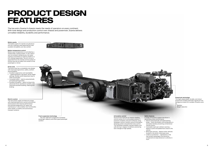

### **Safety features**

A range of functions support the driver in

demanding urban environments. • Electro-pneumatically activated parking brake – locks the brakes until acceleration is

activated, thereby preventing unintentional

- vehicle motion. • Vulnerable road user collision warning – detects cyclist and pedestrians close to the vehicle.
- Blind spot warning detects other vehicles located in the driver's blind spot area.
- Underrun protection rigid beams in the rear protect passengers and sensitive components.to keep distance to vehicles in front.

## **Powertrain technology**

The highly dependable, durable, and robust powertrains enable potentially significant fuel savings as a result of a number of factors such as:

• Gearbox

• Weight reduction

#### **Articulation control**

Scania buses features an industry-leading control system for its articulated variants. It prevents instability and jack-knifing by using wheelspin control, traction control, articulation damping system and patented sway control. This facilitates handling, manoeuvrability, and safe driving in slippery conditions and during lane changes at high speeds.

#### **Battery packs**

The battery packs for hybrids are placed on the roof, creating a well-balanced bus with excellent driveability and ride comfort.



**Front suspension technology** The new rigid front suspension increases passenger capacity and offers good passenger comfort.

#### **Driver area**

The driver area has a completely new design with improved ergonomics, safety, comfort, and driveability.

- Excellent ergonomics and reachability • – pedal placement, leg space, driver height settings, flexible switch placement due to CAN-functionality.
- Increased safety electro-pneumatically activated parking brakes.
- Excellent drivability great turning circle, advanced driver assistance systems, and improved assisted handling, steering and braking.

#### **Electric system**

The new power supply architecture comes with improved electronic control units (ECUs) and functions that improve performance and facilitate diagnostics for repair and maintenance. It also enables new functionality within ADAS, e-mobility and autonomous transport systems.

# **PRODUCT DESIGN FEATURES**

The low entry Scania K-chassis meets the needs of operators on every continent. With total design and production control over chassis and powertrain, Scania delivers unrivalled reliability, durability and performance.

#### **Battery temperature control**

Battery pack temperature is controlled by a closed water cooling system. In very cold or very hot ambient temperatures, the water cooling is assisted by an electric heater or a A/C cooling respectively. The A/C circuit is separated from the climate control system of the bus and will not affect the comfort of the passengers or driver.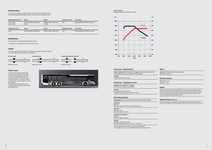## **Powertrain – Hybrid electric**

**Hybrid – Biodiesel** (B100%), **HVO** (B7%), **diesel**: 9-litre engine 320 hp (235 kW), torque 1600 Nm Electric motor 130 kW, torque 1030 Nm

**Gearbox:**  12-speed with Scania opticruise

## **Powertrain – Combustion, Euro 6**

**Biodiesel** (B100%)**, HVO** (B7%)**, diesel:** 9-litre 320 hp (235 kW), torque 1600 Nm

**Gearbox:** 

12-speed with Scania opticruise 6-speed fully automatic with acceleration control

## **Axle and suspension**

**Configurations:** 2-axle, 3-axle with tag axle (steered), 3-axle articulated

#### **Front axle:** Rigid axle

Max. load capacity 8.2 tonnes, articulated 8.0 tonnes

## **Rear axle:**

Rigid axle, driven Max. load capacity 13 tonnes

**Centre axle (articulated):** Rigid axle

Max. load capacity 13 tonnes

**Tag axle:** Rigid axle, steerable, non-driven

Max. load capacity bogie 19 tonnes (11.5 + 7.5 tonnes)

Full air suspension with electronic level control system (ELC) Total raising or lowering of chassis height in the front or the whole side

## **Wheel**

**Tyre size:** 295/80 Continental (Including spare) Aluminium or steel rims

## **Electrical system**

230A battery, 24 V Alternator 2 x 150

# **Brakes**

Disc brakes, electronic brake system (EBS), anti-lock brake system (ABS), traction control (TC), bus stop brake, hill-hold, pad wear indicator, pipes manufactured from either rust-protected steel or high impact synthetics, seperate air tanks for each circuit, exhaust brake with automatic control

# **Support system** (optional)

Scania Driver Support, vulnerable road user collision warning, blind spot warning

### **9-litre, 320 hp** Biodiesel (B100%), HVO (B7%), diesel

## **Powertrains**

The low entry Scania K-chassis offers a wide range of energy efficient and reliable powertrains optimised for inner-city and suburban traffic.

## **Axles**

The low entry Scania K-chassis is available in several variants, enabling it to meet different operational requirements.

| <b>Hybrid electric (Euro 6)</b>  | Output                                  | Torque                               | <b>Emissions control</b> | <b>Fuel options</b>                  |
|----------------------------------|-----------------------------------------|--------------------------------------|--------------------------|--------------------------------------|
| 9-litre engine<br>Electric motor | 320 hp (235 kW) at 1900 r/min<br>130 kW | 1600 Nm (1050-1400 r/min)<br>1030 Nm | <b>SCR</b>               | Biodesel (B100%), HVO (B7%), diesel  |
| <b>Combustion, Euro 6</b>        | Output                                  | Torque                               | <b>Emissions control</b> | <b>Fuel options</b>                  |
| 9-litre                          | 320 hp (235 kW) at 1900 r/min           | 1600 Nm (1050-1400 r/min)            | <b>SCR</b>               | Biodiesel (B100%), HVO (B7%), diesel |



# **Floor level**

The low entry point and flat floor up to the central doors area offer the same accessibility as for the low floor version in the front and middle sections. In the rear section a higher floor creates better view for passengers. The widened aisle contributes to increased accessibility, comfort and passenger flow.



# **Gearboxes**

6-speed fully automatic gearbox (ZF EcoLife 2)

12-speed manual gearbox with Scania opticruise